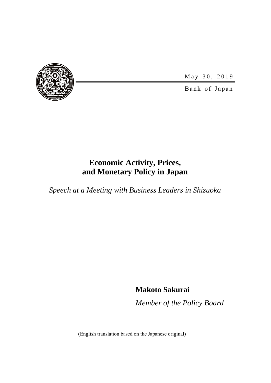

May 30, 2019

Bank of Japan

# **Economic Activity, Prices, and Monetary Policy in Japan**

*Speech at a Meeting with Business Leaders in Shizuoka*

**Makoto Sakurai**

*Member of the Policy Board*

(English translation based on the Japanese original)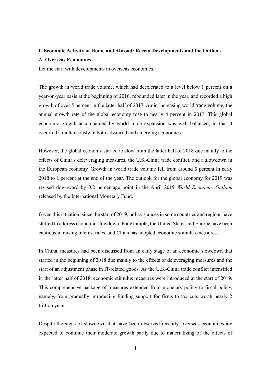# **I. Economic Activity at Home and Abroad: Recent Developments and the Outlook A. Overseas Economies**

Let me start with developments in overseas economies.

The growth in world trade volume, which had decelerated to a level below 1 percent on a year-on-year basis at the beginning of 2016, rebounded later in the year, and recorded a high growth of over 5 percent in the latter half of 2017. Amid increasing world trade volume, the annual growth rate of the global economy rose to nearly 4 percent in 2017. This global economic growth accompanied by world trade expansion was well balanced, in that it occurred simultaneously in both advanced and emerging economies.

However, the global economy started to slow from the latter half of 2018 due mainly to the effects of China's deleveraging measures, the U.S.-China trade conflict, and a slowdown in the European economy. Growth in world trade volume fell from around 5 percent in early 2018 to 1 percent at the end of the year. The outlook for the global economy for 2019 was revised downward by 0.2 percentage point in the April 2019 *World Economic Outlook* released by the International Monetary Fund.

Given this situation, since the start of 2019, policy stances in some countries and regions have shifted to address economic slowdown. For example, the United States and Europe have been cautious in raising interest rates, and China has adopted economic stimulus measures.

In China, measures had been discussed from an early stage of an economic slowdown that started in the beginning of 2018 due mainly to the effects of deleveraging measures and the start of an adjustment phase in IT-related goods. As the U.S.-China trade conflict intensified in the latter half of 2018, economic stimulus measures were introduced at the start of 2019. This comprehensive package of measures extended from monetary policy to fiscal policy, namely, from gradually introducing funding support for firms to tax cuts worth nearly 2 trillion yuan.

Despite the signs of slowdown that have been observed recently, overseas economies are expected to continue their moderate growth partly due to materializing of the effects of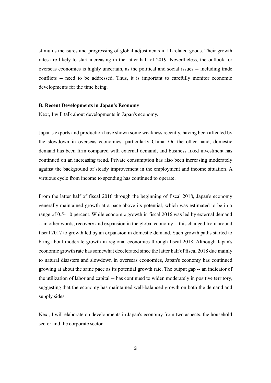stimulus measures and progressing of global adjustments in IT-related goods. Their growth rates are likely to start increasing in the latter half of 2019. Nevertheless, the outlook for overseas economies is highly uncertain, as the political and social issues -- including trade conflicts -- need to be addressed. Thus, it is important to carefully monitor economic developments for the time being.

#### **B. Recent Developments in Japan's Economy**

Next, I will talk about developments in Japan's economy.

Japan's exports and production have shown some weakness recently, having been affected by the slowdown in overseas economies, particularly China. On the other hand, domestic demand has been firm compared with external demand, and business fixed investment has continued on an increasing trend. Private consumption has also been increasing moderately against the background of steady improvement in the employment and income situation. A virtuous cycle from income to spending has continued to operate.

From the latter half of fiscal 2016 through the beginning of fiscal 2018, Japan's economy generally maintained growth at a pace above its potential, which was estimated to be in a range of 0.5-1.0 percent. While economic growth in fiscal 2016 was led by external demand -- in other words, recovery and expansion in the global economy -- this changed from around fiscal 2017 to growth led by an expansion in domestic demand. Such growth paths started to bring about moderate growth in regional economies through fiscal 2018. Although Japan's economic growth rate has somewhat decelerated since the latter half of fiscal 2018 due mainly to natural disasters and slowdown in overseas economies, Japan's economy has continued growing at about the same pace as its potential growth rate. The output gap -- an indicator of the utilization of labor and capital -- has continued to widen moderately in positive territory, suggesting that the economy has maintained well-balanced growth on both the demand and supply sides.

Next, I will elaborate on developments in Japan's economy from two aspects, the household sector and the corporate sector.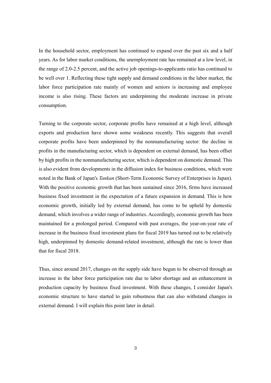In the household sector, employment has continued to expand over the past six and a half years. As for labor market conditions, the unemployment rate has remained at a low level, in the range of 2.0-2.5 percent, and the active job openings-to-applicants ratio has continued to be well over 1. Reflecting these tight supply and demand conditions in the labor market, the labor force participation rate mainly of women and seniors is increasing and employee income is also rising. These factors are underpinning the moderate increase in private consumption.

Turning to the corporate sector, corporate profits have remained at a high level, although exports and production have shown some weakness recently. This suggests that overall corporate profits have been underpinned by the nonmanufacturing sector: the decline in profits in the manufacturing sector, which is dependent on external demand, has been offset by high profits in the nonmanufacturing sector, which is dependent on domestic demand. This is also evident from developments in the diffusion index for business conditions, which were noted in the Bank of Japan's *Tankan* (Short-Term Economic Survey of Enterprises in Japan). With the positive economic growth that has been sustained since 2016, firms have increased business fixed investment in the expectation of a future expansion in demand. This is how economic growth, initially led by external demand, has come to be upheld by domestic demand, which involves a wider range of industries. Accordingly, economic growth has been maintained for a prolonged period. Compared with past averages, the year-on-year rate of increase in the business fixed investment plans for fiscal 2019 has turned out to be relatively high, underpinned by domestic demand-related investment, although the rate is lower than that for fiscal 2018.

Thus, since around 2017, changes on the supply side have begun to be observed through an increase in the labor force participation rate due to labor shortage and an enhancement in production capacity by business fixed investment. With these changes, I consider Japan's economic structure to have started to gain robustness that can also withstand changes in external demand. I will explain this point later in detail.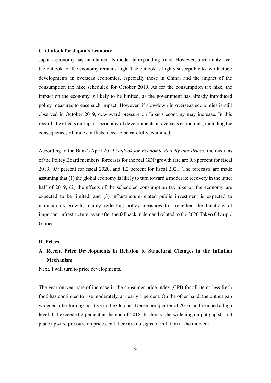#### **C. Outlook for Japan's Economy**

Japan's economy has maintained its moderate expanding trend. However, uncertainty over the outlook for the economy remains high. The outlook is highly susceptible to two factors: developments in overseas economies, especially those in China, and the impact of the consumption tax hike scheduled for October 2019. As for the consumption tax hike, the impact on the economy is likely to be limited, as the government has already introduced policy measures to ease such impact. However, if slowdown in overseas economies is still observed in October 2019, downward pressure on Japan's economy may increase. In this regard, the effects on Japan's economy of developments in overseas economies, including the consequences of trade conflicts, need to be carefully examined.

According to the Bank's April 2019 *Outlook for Economic Activity and Prices*, the medians of the Policy Board members' forecasts for the real GDP growth rate are 0.8 percent for fiscal 2019, 0.9 percent for fiscal 2020, and 1.2 percent for fiscal 2021. The forecasts are made assuming that (1) the global economy is likely to turn toward a moderate recovery in the latter half of 2019, (2) the effects of the scheduled consumption tax hike on the economy are expected to be limited, and (3) infrastructure-related public investment is expected to maintain its growth, mainly reflecting policy measures to strengthen the functions of important infrastructure, even after the fallback in demand related to the 2020 Tokyo Olympic Games.

### **II. Prices**

# **A. Recent Price Developments in Relation to Structural Changes in the Inflation Mechanism**

Next, I will turn to price developments.

The year-on-year rate of increase in the consumer price index (CPI) for all items less fresh food has continued to rise moderately, at nearly 1 percent. On the other hand, the output gap widened after turning positive in the October-December quarter of 2016, and reached a high level that exceeded 2 percent at the end of 2018. In theory, the widening output gap should place upward pressure on prices, but there are no signs of inflation at the moment.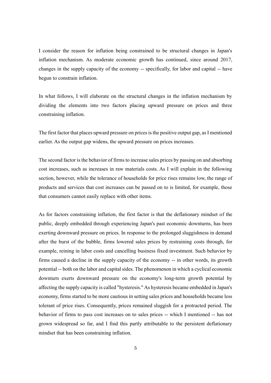I consider the reason for inflation being constrained to be structural changes in Japan's inflation mechanism. As moderate economic growth has continued, since around 2017, changes in the supply capacity of the economy -- specifically, for labor and capital -- have begun to constrain inflation.

In what follows, I will elaborate on the structural changes in the inflation mechanism by dividing the elements into two factors placing upward pressure on prices and three constraining inflation.

The first factor that places upward pressure on prices is the positive output gap, as I mentioned earlier. As the output gap widens, the upward pressure on prices increases.

The second factor is the behavior of firms to increase sales prices by passing on and absorbing cost increases, such as increases in raw materials costs. As I will explain in the following section, however, while the tolerance of households for price rises remains low, the range of products and services that cost increases can be passed on to is limited, for example, those that consumers cannot easily replace with other items.

As for factors constraining inflation, the first factor is that the deflationary mindset of the public, deeply embedded through experiencing Japan's past economic downturns, has been exerting downward pressure on prices. In response to the prolonged sluggishness in demand after the burst of the bubble, firms lowered sales prices by restraining costs through, for example, reining in labor costs and cancelling business fixed investment. Such behavior by firms caused a decline in the supply capacity of the economy -- in other words, its growth potential -- both on the labor and capital sides. The phenomenon in which a cyclical economic downturn exerts downward pressure on the economy's long-term growth potential by affecting the supply capacity is called "hysteresis." As hysteresis became embedded in Japan's economy, firms started to be more cautious in setting sales prices and households became less tolerant of price rises. Consequently, prices remained sluggish for a protracted period. The behavior of firms to pass cost increases on to sales prices -- which I mentioned -- has not grown widespread so far, and I find this partly attributable to the persistent deflationary mindset that has been constraining inflation.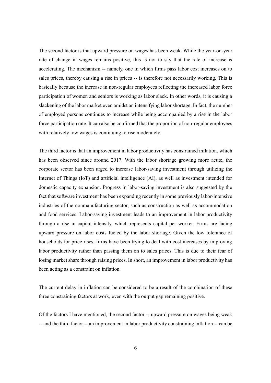The second factor is that upward pressure on wages has been weak. While the year-on-year rate of change in wages remains positive, this is not to say that the rate of increase is accelerating. The mechanism -- namely, one in which firms pass labor cost increases on to sales prices, thereby causing a rise in prices -- is therefore not necessarily working. This is basically because the increase in non-regular employees reflecting the increased labor force participation of women and seniors is working as labor slack. In other words, it is causing a slackening of the labor market even amidst an intensifying labor shortage. In fact, the number of employed persons continues to increase while being accompanied by a rise in the labor force participation rate. It can also be confirmed that the proportion of non-regular employees with relatively low wages is continuing to rise moderately.

The third factor is that an improvement in labor productivity has constrained inflation, which has been observed since around 2017. With the labor shortage growing more acute, the corporate sector has been urged to increase labor-saving investment through utilizing the Internet of Things (IoT) and artificial intelligence (AI), as well as investment intended for domestic capacity expansion. Progress in labor-saving investment is also suggested by the fact that software investment has been expanding recently in some previously labor-intensive industries of the nonmanufacturing sector, such as construction as well as accommodation and food services. Labor-saving investment leads to an improvement in labor productivity through a rise in capital intensity, which represents capital per worker. Firms are facing upward pressure on labor costs fueled by the labor shortage. Given the low tolerance of households for price rises, firms have been trying to deal with cost increases by improving labor productivity rather than passing them on to sales prices. This is due to their fear of losing market share through raising prices. In short, an improvement in labor productivity has been acting as a constraint on inflation.

The current delay in inflation can be considered to be a result of the combination of these three constraining factors at work, even with the output gap remaining positive.

Of the factors I have mentioned, the second factor -- upward pressure on wages being weak -- and the third factor -- an improvement in labor productivity constraining inflation -- can be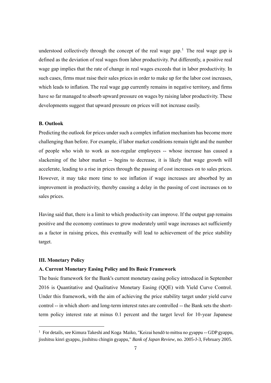understood collectively through the concept of the real wage gap.<sup>1</sup> The real wage gap is defined as the deviation of real wages from labor productivity. Put differently, a positive real wage gap implies that the rate of change in real wages exceeds that in labor productivity. In such cases, firms must raise their sales prices in order to make up for the labor cost increases, which leads to inflation. The real wage gap currently remains in negative territory, and firms have so far managed to absorb upward pressure on wages by raising labor productivity. These developments suggest that upward pressure on prices will not increase easily.

### **B. Outlook**

Predicting the outlook for prices under such a complex inflation mechanism has become more challenging than before. For example, if labor market conditions remain tight and the number of people who wish to work as non-regular employees -- whose increase has caused a slackening of the labor market -- begins to decrease, it is likely that wage growth will accelerate, leading to a rise in prices through the passing of cost increases on to sales prices. However, it may take more time to see inflation if wage increases are absorbed by an improvement in productivity, thereby causing a delay in the passing of cost increases on to sales prices.

Having said that, there is a limit to which productivity can improve. If the output gap remains positive and the economy continues to grow moderately until wage increases act sufficiently as a factor in raising prices, this eventually will lead to achievement of the price stability target.

#### **III. Monetary Policy**

-

#### **A. Current Monetary Easing Policy and Its Basic Framework**

The basic framework for the Bank's current monetary easing policy introduced in September 2016 is Quantitative and Qualitative Monetary Easing (QQE) with Yield Curve Control. Under this framework, with the aim of achieving the price stability target under yield curve control -- in which short- and long-term interest rates are controlled -- the Bank sets the shortterm policy interest rate at minus 0.1 percent and the target level for 10-year Japanese

<sup>&</sup>lt;sup>1</sup> For details, see Kimura Takeshi and Koga Maiko, "Keizai hendō to mittsu no gyappu -- GDP gyappu, jisshitsu kinri gyappu, jisshitsu chingin gyappu," *Bank of Japan Review*, no. 2005-J-3, February 2005.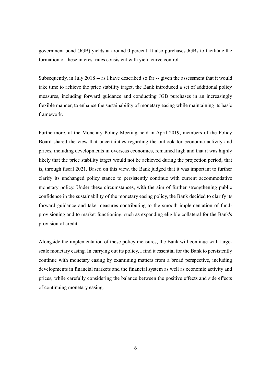government bond (JGB) yields at around 0 percent. It also purchases JGBs to facilitate the formation of these interest rates consistent with yield curve control.

Subsequently, in July 2018 -- as I have described so far -- given the assessment that it would take time to achieve the price stability target, the Bank introduced a set of additional policy measures, including forward guidance and conducting JGB purchases in an increasingly flexible manner, to enhance the sustainability of monetary easing while maintaining its basic framework.

Furthermore, at the Monetary Policy Meeting held in April 2019, members of the Policy Board shared the view that uncertainties regarding the outlook for economic activity and prices, including developments in overseas economies, remained high and that it was highly likely that the price stability target would not be achieved during the projection period, that is, through fiscal 2021. Based on this view, the Bank judged that it was important to further clarify its unchanged policy stance to persistently continue with current accommodative monetary policy. Under these circumstances, with the aim of further strengthening public confidence in the sustainability of the monetary easing policy, the Bank decided to clarify its forward guidance and take measures contributing to the smooth implementation of fundprovisioning and to market functioning, such as expanding eligible collateral for the Bank's provision of credit.

Alongside the implementation of these policy measures, the Bank will continue with largescale monetary easing. In carrying out its policy, I find it essential for the Bank to persistently continue with monetary easing by examining matters from a broad perspective, including developments in financial markets and the financial system as well as economic activity and prices, while carefully considering the balance between the positive effects and side effects of continuing monetary easing.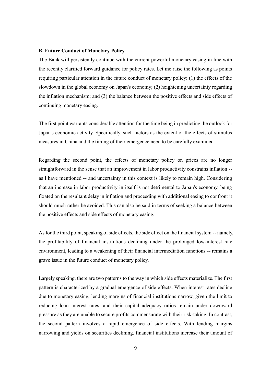#### **B. Future Conduct of Monetary Policy**

The Bank will persistently continue with the current powerful monetary easing in line with the recently clarified forward guidance for policy rates. Let me raise the following as points requiring particular attention in the future conduct of monetary policy: (1) the effects of the slowdown in the global economy on Japan's economy; (2) heightening uncertainty regarding the inflation mechanism; and (3) the balance between the positive effects and side effects of continuing monetary easing.

The first point warrants considerable attention for the time being in predicting the outlook for Japan's economic activity. Specifically, such factors as the extent of the effects of stimulus measures in China and the timing of their emergence need to be carefully examined.

Regarding the second point, the effects of monetary policy on prices are no longer straightforward in the sense that an improvement in labor productivity constrains inflation - as I have mentioned -- and uncertainty in this context is likely to remain high. Considering that an increase in labor productivity in itself is not detrimental to Japan's economy, being fixated on the resultant delay in inflation and proceeding with additional easing to confront it should much rather be avoided. This can also be said in terms of seeking a balance between the positive effects and side effects of monetary easing.

As for the third point, speaking of side effects, the side effect on the financial system -- namely, the profitability of financial institutions declining under the prolonged low-interest rate environment, leading to a weakening of their financial intermediation functions -- remains a grave issue in the future conduct of monetary policy.

Largely speaking, there are two patterns to the way in which side effects materialize. The first pattern is characterized by a gradual emergence of side effects. When interest rates decline due to monetary easing, lending margins of financial institutions narrow, given the limit to reducing loan interest rates, and their capital adequacy ratios remain under downward pressure as they are unable to secure profits commensurate with their risk-taking. In contrast, the second pattern involves a rapid emergence of side effects. With lending margins narrowing and yields on securities declining, financial institutions increase their amount of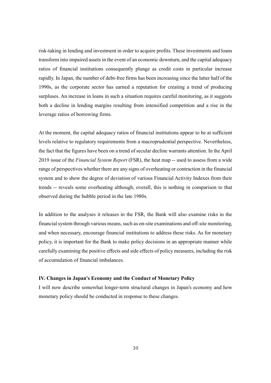risk-taking in lending and investment in order to acquire profits. These investments and loans transform into impaired assets in the event of an economic downturn, and the capital adequacy ratios of financial institutions consequently plunge as credit costs in particular increase rapidly. In Japan, the number of debt-free firms has been increasing since the latter half of the 1990s, as the corporate sector has earned a reputation for creating a trend of producing surpluses. An increase in loans in such a situation requires careful monitoring, as it suggests both a decline in lending margins resulting from intensified competition and a rise in the leverage ratios of borrowing firms.

At the moment, the capital adequacy ratios of financial institutions appear to be at sufficient levels relative to regulatory requirements from a macroprudential perspective. Nevertheless, the fact that the figures have been on a trend of secular decline warrants attention. In the April 2019 issue of the *Financial System Report* (FSR), the heat map -- used to assess from a wide range of perspectives whether there are any signs of overheating or contraction in the financial system and to show the degree of deviation of various Financial Activity Indexes from their trends -- reveals some overheating although, overall, this is nothing in comparison to that observed during the bubble period in the late 1980s.

In addition to the analyses it releases in the FSR, the Bank will also examine risks in the financial system through various means, such as on-site examinations and off-site monitoring, and when necessary, encourage financial institutions to address these risks. As for monetary policy, it is important for the Bank to make policy decisions in an appropriate manner while carefully examining the positive effects and side effects of policy measures, including the risk of accumulation of financial imbalances.

# **IV. Changes in Japan's Economy and the Conduct of Monetary Policy**

I will now describe somewhat longer-term structural changes in Japan's economy and how monetary policy should be conducted in response to these changes.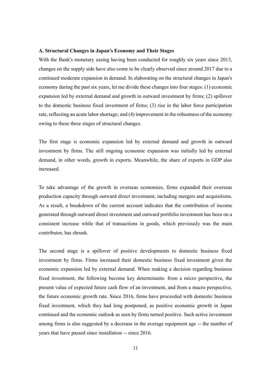#### **A. Structural Changes in Japan's Economy and Their Stages**

With the Bank's monetary easing having been conducted for roughly six years since 2013, changes on the supply side have also come to be clearly observed since around 2017 due to a continued moderate expansion in demand. In elaborating on the structural changes in Japan's economy during the past six years, let me divide these changes into four stages: (1) economic expansion led by external demand and growth in outward investment by firms; (2) spillover to the domestic business fixed investment of firms; (3) rise in the labor force participation rate, reflecting an acute labor shortage; and (4) improvement in the robustness of the economy owing to these three stages of structural changes.

The first stage is economic expansion led by external demand and growth in outward investment by firms. The still ongoing economic expansion was initially led by external demand, in other words, growth in exports. Meanwhile, the share of exports in GDP also increased.

To take advantage of the growth in overseas economies, firms expanded their overseas production capacity through outward direct investment, including mergers and acquisitions. As a result, a breakdown of the current account indicates that the contribution of income generated through outward direct investment and outward portfolio investment has been on a consistent increase while that of transactions in goods, which previously was the main contributor, has shrunk.

The second stage is a spillover of positive developments to domestic business fixed investment by firms. Firms increased their domestic business fixed investment given the economic expansion led by external demand. When making a decision regarding business fixed investment, the following become key determinants: from a micro perspective, the present value of expected future cash flow of an investment, and from a macro perspective, the future economic growth rate. Since 2016, firms have proceeded with domestic business fixed investment, which they had long postponed, as positive economic growth in Japan continued and the economic outlook as seen by firms turned positive. Such active investment among firms is also suggested by a decrease in the average equipment age -- the number of years that have passed since installation -- since 2016.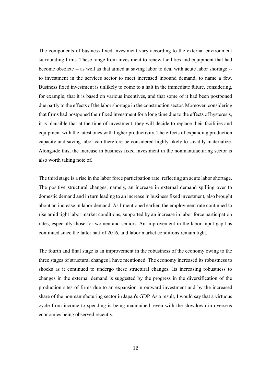The components of business fixed investment vary according to the external environment surrounding firms. These range from investment to renew facilities and equipment that had become obsolete -- as well as that aimed at saving labor to deal with acute labor shortage - to investment in the services sector to meet increased inbound demand, to name a few. Business fixed investment is unlikely to come to a halt in the immediate future, considering, for example, that it is based on various incentives, and that some of it had been postponed due partly to the effects of the labor shortage in the construction sector. Moreover, considering that firms had postponed their fixed investment for a long time due to the effects of hysteresis, it is plausible that at the time of investment, they will decide to replace their facilities and equipment with the latest ones with higher productivity. The effects of expanding production capacity and saving labor can therefore be considered highly likely to steadily materialize. Alongside this, the increase in business fixed investment in the nonmanufacturing sector is also worth taking note of.

The third stage is a rise in the labor force participation rate, reflecting an acute labor shortage. The positive structural changes, namely, an increase in external demand spilling over to domestic demand and in turn leading to an increase in business fixed investment, also brought about an increase in labor demand. As I mentioned earlier, the employment rate continued to rise amid tight labor market conditions, supported by an increase in labor force participation rates, especially those for women and seniors. An improvement in the labor input gap has continued since the latter half of 2016, and labor market conditions remain tight.

The fourth and final stage is an improvement in the robustness of the economy owing to the three stages of structural changes I have mentioned. The economy increased its robustness to shocks as it continued to undergo these structural changes. Its increasing robustness to changes in the external demand is suggested by the progress in the diversification of the production sites of firms due to an expansion in outward investment and by the increased share of the nonmanufacturing sector in Japan's GDP. As a result, I would say that a virtuous cycle from income to spending is being maintained, even with the slowdown in overseas economies being observed recently.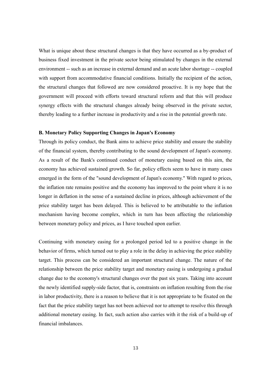What is unique about these structural changes is that they have occurred as a by-product of business fixed investment in the private sector being stimulated by changes in the external environment -- such as an increase in external demand and an acute labor shortage -- coupled with support from accommodative financial conditions. Initially the recipient of the action, the structural changes that followed are now considered proactive. It is my hope that the government will proceed with efforts toward structural reform and that this will produce synergy effects with the structural changes already being observed in the private sector, thereby leading to a further increase in productivity and a rise in the potential growth rate.

## **B. Monetary Policy Supporting Changes in Japan's Economy**

Through its policy conduct, the Bank aims to achieve price stability and ensure the stability of the financial system, thereby contributing to the sound development of Japan's economy. As a result of the Bank's continued conduct of monetary easing based on this aim, the economy has achieved sustained growth. So far, policy effects seem to have in many cases emerged in the form of the "sound development of Japan's economy." With regard to prices, the inflation rate remains positive and the economy has improved to the point where it is no longer in deflation in the sense of a sustained decline in prices, although achievement of the price stability target has been delayed. This is believed to be attributable to the inflation mechanism having become complex, which in turn has been affecting the relationship between monetary policy and prices, as I have touched upon earlier.

Continuing with monetary easing for a prolonged period led to a positive change in the behavior of firms, which turned out to play a role in the delay in achieving the price stability target. This process can be considered an important structural change. The nature of the relationship between the price stability target and monetary easing is undergoing a gradual change due to the economy's structural changes over the past six years. Taking into account the newly identified supply-side factor, that is, constraints on inflation resulting from the rise in labor productivity, there is a reason to believe that it is not appropriate to be fixated on the fact that the price stability target has not been achieved nor to attempt to resolve this through additional monetary easing. In fact, such action also carries with it the risk of a build-up of financial imbalances.